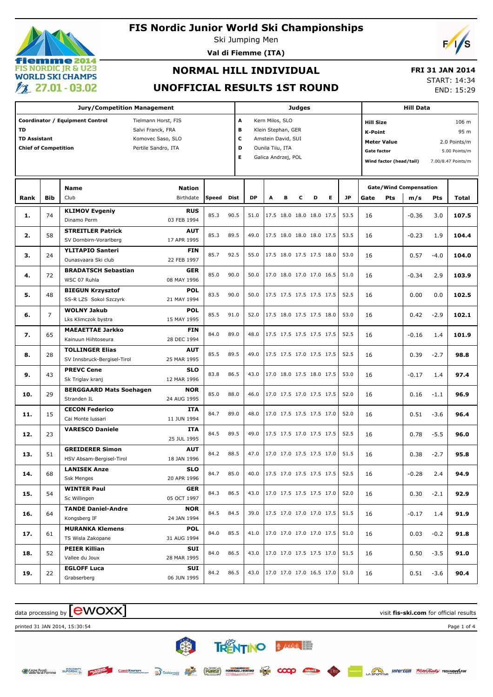## **emme 2014 FIS NORDIC JR & U23 WORLD SKI CHAMPS**  $\ell$  27.01 - 03.02

#### **FIS Nordic Junior World Ski Championships**

Ski Jumping Men

**Val di Fiemme (ITA)**

## **NORMAL HILL INDIVIDUAL**

#### **FRI 31 JAN 2014**

#### **UNOFFICIAL RESULTS 1ST ROUND**

START: 14:34

END: 15:29

|                             | <b>Jury/Competition Management</b>       |                                 |                     |       |      |                         |                     |   | <b>Judges</b> |                          |                          | <b>Hill Data</b> |                                     |                                    |                               |        |                    |  |
|-----------------------------|------------------------------------------|---------------------------------|---------------------|-------|------|-------------------------|---------------------|---|---------------|--------------------------|--------------------------|------------------|-------------------------------------|------------------------------------|-------------------------------|--------|--------------------|--|
|                             |                                          | Coordinator / Equipment Control | Tielmann Horst, FIS |       |      | A<br>Kern Milos, SLO    |                     |   |               |                          |                          |                  |                                     | <b>Hill Size</b><br>106 m          |                               |        |                    |  |
| <b>TD</b>                   |                                          |                                 | Salvi Franck, FRA   |       | В    |                         | Klein Stephan, GER  |   |               |                          |                          |                  | <b>K-Point</b><br>95 m              |                                    |                               |        |                    |  |
|                             | <b>TD Assistant</b><br>Komovec Saso, SLO |                                 |                     |       |      | c<br>Amstein David, SUI |                     |   |               |                          |                          |                  |                                     | <b>Meter Value</b><br>2.0 Points/m |                               |        |                    |  |
| <b>Chief of Competition</b> |                                          |                                 | Pertile Sandro, ITA |       | D    |                         | Ounila Tiiu, ITA    |   |               |                          |                          |                  | <b>Gate factor</b><br>5.00 Points/m |                                    |                               |        |                    |  |
|                             |                                          |                                 |                     |       | Е    |                         | Galica Andrzej, POL |   |               |                          |                          |                  |                                     |                                    |                               |        | 7.00/8.47 Points/m |  |
|                             |                                          |                                 |                     |       |      |                         |                     |   |               |                          |                          |                  | Wind factor (head/tail)             |                                    |                               |        |                    |  |
|                             |                                          |                                 |                     |       |      |                         |                     |   |               |                          |                          |                  |                                     |                                    |                               |        |                    |  |
|                             |                                          | <b>Name</b>                     | <b>Nation</b>       |       |      |                         |                     |   |               |                          |                          |                  |                                     |                                    | <b>Gate/Wind Compensation</b> |        |                    |  |
| Rank                        | <b>Bib</b>                               | Club                            | Birthdate           | Speed | Dist | <b>DP</b>               | A                   | в | с             | D                        | E.                       | <b>JP</b>        | Gate                                | Pts                                | m/s                           | Pts    | Total              |  |
| 1.                          | 74                                       | <b>KLIMOV Evgeniy</b>           | <b>RUS</b>          | 85.3  | 90.5 | 51.0                    |                     |   |               | 17.5 18.0 18.0 18.0 17.5 |                          | 53.5             | 16                                  |                                    | $-0.36$                       | 3.0    | 107.5              |  |
|                             |                                          | Dinamo Perm                     | 03 FEB 1994         |       |      |                         |                     |   |               |                          |                          |                  |                                     |                                    |                               |        |                    |  |
| 2.                          | 58                                       | <b>STREITLER Patrick</b>        | <b>AUT</b>          | 85.3  | 89.5 | 49.0                    |                     |   |               | 17.5 18.0 18.0 18.0 17.5 |                          | 53.5             | 16                                  |                                    | $-0.23$                       | 1.9    | 104.4              |  |
|                             |                                          | SV Dornbirn-Vorarlberg          | 17 APR 1995         |       |      |                         |                     |   |               |                          |                          |                  |                                     |                                    |                               |        |                    |  |
| з.                          | 24                                       | <b>YLITAPIO Santeri</b>         | <b>FIN</b>          | 85.7  | 92.5 | 55.0                    |                     |   |               | 17.5 18.0 17.5 17.5 18.0 |                          | 53.0             | 16                                  |                                    | 0.57                          | $-4.0$ | 104.0              |  |
|                             |                                          | Ounasvaara Ski club             | 22 FEB 1997         |       |      |                         |                     |   |               |                          |                          |                  |                                     |                                    |                               |        |                    |  |
| 4.                          | 72                                       | <b>BRADATSCH Sebastian</b>      | <b>GER</b>          | 85.0  | 90.0 | 50.0                    |                     |   |               | 17.0 18.0 17.0 17.0 16.5 |                          | 51.0             | 16                                  |                                    | $-0.34$                       | 2.9    | 103.9              |  |
|                             |                                          | WSC 07 Ruhla                    | 08 MAY 1996         |       |      |                         |                     |   |               |                          |                          |                  |                                     |                                    |                               |        |                    |  |
| 5.                          | 48                                       | <b>BIEGUN Krzysztof</b>         | <b>POL</b>          | 83.5  | 90.0 | 50.0                    |                     |   |               | 17.5 17.5 17.5 17.5 17.5 |                          | 52.5             | 16                                  |                                    | 0.00                          | 0.0    | 102.5              |  |
|                             |                                          | SS-R LZS Sokol Szczyrk          | 21 MAY 1994         |       |      |                         |                     |   |               |                          |                          |                  |                                     |                                    |                               |        |                    |  |
|                             | 7                                        | <b>WOLNY Jakub</b>              | <b>POL</b>          | 85.5  | 91.0 | 52.0                    |                     |   |               | 17.5 18.0 17.5 17.5 18.0 |                          | 53.0             |                                     |                                    |                               |        | 102.1              |  |
| 6.                          |                                          | Lks Klimczok bystra             | 15 MAY 1995         |       |      |                         |                     |   |               |                          |                          |                  | 16                                  |                                    | 0.42                          | $-2.9$ |                    |  |
|                             |                                          | <b>MAEAETTAE Jarkko</b>         | <b>FIN</b>          |       | 89.0 |                         |                     |   |               |                          |                          |                  |                                     |                                    |                               |        |                    |  |
| 7.                          | 65                                       | Kainuun Hiihtoseura             | 28 DEC 1994         | 84.0  |      | 48.0                    |                     |   |               | 17.5 17.5 17.5 17.5 17.5 |                          | 52.5             | 16                                  |                                    | $-0.16$                       | 1.4    | 101.9              |  |
|                             |                                          | <b>TOLLINGER Elias</b>          | <b>AUT</b>          | 85.5  | 89.5 |                         |                     |   |               | 17.5 17.5 17.0 17.5 17.5 |                          |                  |                                     |                                    |                               |        |                    |  |
| 8.                          | 28                                       | SV Innsbruck-Bergisel-Tirol     | 25 MAR 1995         |       |      | 49.0                    |                     |   |               |                          |                          | 52.5             | 16                                  |                                    | 0.39                          | $-2.7$ | 98.8               |  |
|                             |                                          | <b>PREVC Cene</b>               | <b>SLO</b>          |       |      |                         |                     |   |               |                          |                          |                  |                                     |                                    |                               |        |                    |  |
| 9.                          | 43                                       | Sk Triglav kranj                | 12 MAR 1996         | 83.8  | 86.5 | 43.0                    |                     |   |               | 17.0 18.0 17.5 18.0 17.5 |                          | 53.0             | 16                                  |                                    | $-0.17$                       | 1.4    | 97.4               |  |
|                             |                                          | <b>BERGGAARD Mats Soehagen</b>  | <b>NOR</b>          |       |      |                         |                     |   |               |                          |                          |                  |                                     |                                    |                               |        |                    |  |
| 10.                         | 29                                       | Stranden IL                     | 24 AUG 1995         | 85.0  | 88.0 | 46.0                    |                     |   |               | 17.0 17.5 17.0 17.5 17.5 |                          | 52.0             | 16                                  |                                    | 0.16                          | $-1.1$ | 96.9               |  |
|                             |                                          | <b>CECON Federico</b>           | <b>ITA</b>          |       |      |                         |                     |   |               |                          |                          |                  |                                     |                                    |                               |        |                    |  |
| 11.                         | 15                                       | Cai Monte Iussari               | 11 JUN 1994         | 84.7  | 89.0 | 48.0                    |                     |   |               | 17.0 17.5 17.5 17.5 17.0 |                          | 52.0             | 16                                  |                                    | 0.51                          | $-3.6$ | 96.4               |  |
|                             |                                          | <b>VARESCO Daniele</b>          | <b>ITA</b>          |       |      |                         |                     |   |               |                          |                          |                  |                                     |                                    |                               |        |                    |  |
| 12.                         | 23                                       |                                 | 25 JUL 1995         | 84.5  | 89.5 | 49.0                    |                     |   |               | 17.5 17.5 17.0 17.5 17.5 |                          | 52.5             | 16                                  |                                    | 0.78                          | $-5.5$ | 96.0               |  |
|                             |                                          | <b>GREIDERER Simon</b>          | <b>AUT</b>          |       |      |                         |                     |   |               |                          |                          |                  |                                     |                                    |                               |        |                    |  |
| 13.                         | 51                                       | HSV Absam-Bergisel-Tirol        | 18 JAN 1996         | 84.2  | 88.5 | 47.0                    |                     |   |               | 17.0 17.0 17.5 17.5 17.0 |                          | 51.5             | 16                                  |                                    | 0.38                          | $-2.7$ | 95.8               |  |
|                             |                                          | <b>LANISEK Anze</b>             | <b>SLO</b>          |       |      |                         |                     |   |               |                          |                          |                  |                                     |                                    |                               |        |                    |  |
| 14.                         | 68                                       | Ssk Menges                      | 20 APR 1996         | 84.7  | 85.0 | 40.0                    |                     |   |               |                          | 17.5 17.0 17.5 17.5 17.5 | 52.5             | 16                                  |                                    | $-0.28$                       | 2.4    | 94.9               |  |
|                             |                                          | <b>WINTER Paul</b>              | GER                 |       |      |                         |                     |   |               |                          |                          |                  |                                     |                                    |                               |        |                    |  |
| 15.                         | 54                                       | Sc Willingen                    | 05 OCT 1997         | 84.3  | 86.5 | 43.0                    |                     |   |               | 17.0 17.5 17.5 17.5 17.0 |                          | 52.0             | 16                                  |                                    | 0.30                          | $-2.1$ | 92.9               |  |
|                             |                                          | <b>TANDE Daniel-Andre</b>       | <b>NOR</b>          |       |      |                         |                     |   |               |                          |                          |                  |                                     |                                    |                               |        |                    |  |
| 16.                         | 64                                       | Kongsberg IF                    | 24 JAN 1994         | 84.5  | 84.5 | 39.0                    |                     |   |               | 17.5 17.0 17.0 17.0 17.5 |                          | 51.5             | 16                                  |                                    | $-0.17$                       | 1.4    | 91.9               |  |
|                             |                                          | <b>MURANKA Klemens</b>          | <b>POL</b>          |       |      |                         |                     |   |               |                          |                          |                  |                                     |                                    |                               |        |                    |  |
| 17.                         | 61                                       | TS Wisla Zakopane               | 31 AUG 1994         | 84.0  | 85.5 | 41.0                    |                     |   |               | 17.0 17.0 17.0 17.0 17.5 |                          | 51.0             | 16                                  |                                    | 0.03                          | $-0.2$ | 91.8               |  |
|                             |                                          | <b>PEIER Killian</b>            | SUI                 |       |      |                         |                     |   |               |                          |                          |                  |                                     |                                    |                               |        |                    |  |
| 18.                         | 52                                       | Vallee du Joux                  | 28 MAR 1995         | 84.0  | 86.5 | 43.0                    |                     |   |               | 17.0 17.0 17.5 17.5 17.0 |                          | 51.5             | 16                                  |                                    | 0.50                          | $-3.5$ | 91.0               |  |
|                             |                                          | <b>EGLOFF Luca</b>              | SUI                 |       |      |                         |                     |   |               |                          |                          |                  |                                     |                                    |                               |        |                    |  |
| 19.                         | 22                                       | Grabserberg                     | 06 JUN 1995         | 84.2  | 86.5 | 43.0                    |                     |   |               | 17.0 17.0 17.0 16.5 17.0 |                          | 51.0             | 16                                  |                                    | 0.51                          | $-3.6$ | 90.4               |  |
|                             |                                          |                                 |                     |       |      |                         |                     |   |               |                          |                          |                  |                                     |                                    |                               |        |                    |  |

**TRENTINO & MAKING** 

 $\infty$ 

类

Czech Tourism

data processing by **CWOXX** and  $\blacksquare$  and  $\blacksquare$  and  $\blacksquare$  and  $\blacksquare$  and  $\blacksquare$  and  $\blacksquare$  and  $\blacksquare$  and  $\blacksquare$  and  $\blacksquare$  and  $\blacksquare$  and  $\blacksquare$  and  $\blacksquare$  and  $\blacksquare$  and  $\blacksquare$  and  $\blacksquare$  and  $\blacksquare$  and  $\blacksquare$  and  $\blacks$ 



Casse Rurali<br>Coela Val di Fiemme **DOLOMITI** 



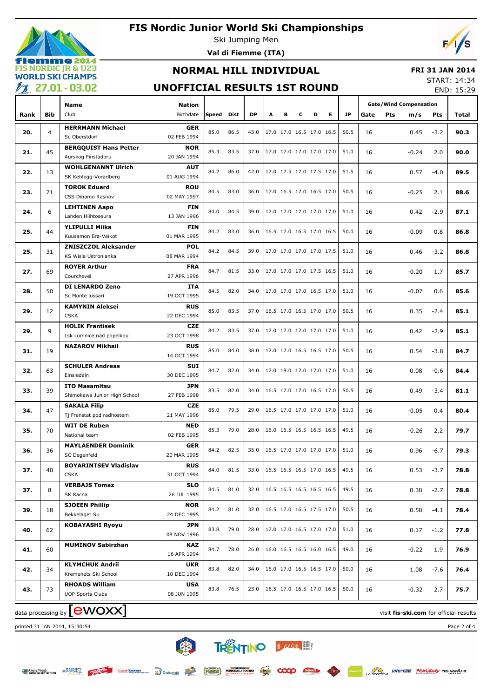



Ski Jumping Men **Val di Fiemme (ITA)**

# $\mathcal{L}$

## **NORMAL HILL INDIVIDUAL**

#### **FRI 31 JAN 2014**

#### **UNOFFICIAL RESULTS 1ST ROUND**

START: 14:34 END: 15:29

|      |                |                                                      |                           |       |      |      |                            |   |                          |                          |                          |      |      |            |                               |        | LIVD. 19.29 |
|------|----------------|------------------------------------------------------|---------------------------|-------|------|------|----------------------------|---|--------------------------|--------------------------|--------------------------|------|------|------------|-------------------------------|--------|-------------|
|      |                | Name                                                 | <b>Nation</b>             |       |      |      |                            |   |                          |                          |                          | JP.  |      |            | <b>Gate/Wind Compensation</b> |        |             |
| Rank | Bib            | Club                                                 | Birthdate                 | Speed | Dist | DP   | A                          | в | c                        | D                        | Е.                       |      | Gate | <b>Pts</b> | m/s                           | Pts    | Total       |
| 20.  | $\overline{4}$ | <b>HERRMANN Michael</b>                              | <b>GER</b>                | 85.0  | 86.5 | 43.0 |                            |   | 17.0 17.0 16.5 17.0 16.5 |                          |                          | 50.5 | 16   |            | 0.45                          | $-3.2$ | 90.3        |
|      |                | Sc Oberstdorf                                        | 02 FEB 1994               |       |      |      |                            |   |                          |                          |                          |      |      |            |                               |        |             |
| 21.  | 45             | <b>BERGQUIST Hans Petter</b>                         | <b>NOR</b>                | 85.3  | 83.5 | 37.0 |                            |   | 17.0 17.0 17.0 17.0 17.0 |                          |                          | 51.0 | 16   |            | $-0.24$                       | 2.0    | 90.0        |
|      |                | Aurskog Finstadbru                                   | 20 JAN 1994               |       |      |      |                            |   |                          |                          |                          |      |      |            |                               |        |             |
| 22.  | 13             | <b>WOHLGENANNT Ulrich</b>                            | <b>AUT</b>                | 84.2  | 86.0 | 42.0 |                            |   | 17.0 17.5 17.0 17.5 17.0 |                          |                          | 51.5 | 16   |            | 0.57                          | $-4.0$ | 89.5        |
|      |                | SK Kehlegg-Vorarlberg                                | 01 AUG 1994               |       |      |      |                            |   |                          |                          |                          |      |      |            |                               |        |             |
| 23.  | 71             | <b>TOROK Eduard</b>                                  | <b>ROU</b>                | 84.5  | 83.0 | 36.0 |                            |   | 17.0 16.5 17.0 16.5 17.0 |                          |                          | 50.5 | 16   |            | $-0.25$                       | 2.1    | 88.6        |
|      |                | CSS Dinamo Rasnov                                    | 02 MAY 1997               |       |      |      |                            |   |                          |                          |                          |      |      |            |                               |        |             |
| 24.  | 6              | <b>LEHTINEN Aapo</b><br>Lahden Hiihtoseura           | FIN<br>13 JAN 1996        | 84.0  | 84.5 | 39.0 |                            |   | 17.0 17.0 17.0 17.0 17.0 |                          |                          | 51.0 | 16   |            | 0.42                          | $-2.9$ | 87.1        |
|      |                | YLIPULLI Miika                                       | FIN                       |       |      |      |                            |   |                          |                          |                          |      |      |            |                               |        |             |
| 25.  | 44             | Kuusamon Era-Veikot                                  | 01 MAR 1995               | 84.2  | 83.0 | 36.0 |                            |   | 16.5 17.0 16.5 17.0 16.5 |                          |                          | 50.0 | 16   |            | $-0.09$                       | 0.8    | 86.8        |
|      |                | <b>ZNISZCZOL Aleksander</b>                          | <b>POL</b>                |       |      |      |                            |   |                          |                          |                          |      |      |            |                               |        |             |
| 25.  | 31             | KS Wisla Ustronianka                                 | 08 MAR 1994               | 84.2  | 84.5 | 39.0 |                            |   | 17.0 17.0 17.0 17.0 17.5 |                          |                          | 51.0 | 16   |            | 0.46                          | $-3.2$ | 86.8        |
|      |                | <b>ROYER Arthur</b>                                  | <b>FRA</b>                |       |      |      |                            |   |                          |                          |                          |      |      |            |                               |        |             |
| 27.  | 69             | Courchevel                                           | 27 APR 1996               | 84.7  | 81.5 | 33.0 |                            |   | 17.0 17.0 17.0 17.5 16.5 |                          |                          | 51.0 | 16   |            | $-0.20$                       | 1.7    | 85.7        |
|      |                | DI LENARDO Zeno                                      | ITA                       |       |      |      |                            |   |                          |                          |                          |      |      |            |                               |        |             |
| 28.  | 50             | Sc Monte Iussari                                     | 19 OCT 1995               | 84.5  | 82.0 | 34.0 |                            |   | 17.0 17.0 17.0 16.5 17.0 |                          |                          | 51.0 | 16   |            | $-0.07$                       | 0.6    | 85.6        |
| 29.  | 12             | <b>KAMYNIN Aleksei</b>                               | <b>RUS</b>                | 85.0  | 83.5 | 37.0 |                            |   | 16.5 17.0 16.5 17.0 17.0 |                          |                          | 50.5 | 16   |            | 0.35                          | $-2.4$ | 85.1        |
|      |                | <b>CSKA</b>                                          | 22 DEC 1994               |       |      |      |                            |   |                          |                          |                          |      |      |            |                               |        |             |
| 29.  | 9              | <b>HOLIK Frantisek</b>                               | CZE                       | 84.2  | 83.5 | 37.0 |                            |   | 17.0 17.0 17.0 17.0 17.0 |                          |                          | 51.0 | 16   |            | 0.42                          | $-2.9$ | 85.1        |
|      |                | Lsk Lomnice nad popelkou                             | 23 OCT 1998               |       |      |      |                            |   |                          |                          |                          |      |      |            |                               |        |             |
| 31.  | 19             | <b>NAZAROV Mikhail</b>                               | <b>RUS</b>                | 85.0  | 84.0 | 38.0 |                            |   | 17.0 17.0 16.5 16.5 17.0 |                          |                          | 50.5 | 16   |            | 0.54                          | $-3.8$ | 84.7        |
|      |                |                                                      | 14 OCT 1994               |       |      |      |                            |   |                          |                          |                          |      |      |            |                               |        |             |
| 32.  | 63             | <b>SCHULER Andreas</b>                               | SUI                       | 84.7  | 82.0 | 34.0 |                            |   | 17.0 18.0 17.0 17.0 17.0 |                          |                          | 51.0 | 16   |            | 0.08                          | $-0.6$ | 84.4        |
|      |                | Einsiedeln                                           | 30 DEC 1995               |       |      |      |                            |   |                          |                          |                          |      |      |            |                               |        |             |
| 33.  | 39             | <b>ITO Masamitsu</b><br>Shimokawa Junior High School | JPN<br>27 FEB 1998        | 83.5  | 82.0 | 34.0 |                            |   | 16.5 17.0 17.0 16.5 17.0 |                          |                          | 50.5 | 16   |            | 0.49                          | $-3.4$ | 81.1        |
|      |                | <b>SAKALA Filip</b>                                  | CZE                       |       |      |      |                            |   |                          |                          |                          |      |      |            |                               |        |             |
| 34.  | 47             | Tj Frenstat pod radhostem                            | 21 MAY 1996               | 85.0  | 79.5 | 29.0 |                            |   | 16.5 17.0 17.0 17.0 17.0 |                          |                          | 51.0 | 16   |            | $-0.05$                       | 0.4    | 80.4        |
|      |                | <b>WIT DE Ruben</b>                                  | <b>NED</b>                |       |      |      |                            |   |                          |                          |                          |      |      |            |                               |        |             |
| 35.  | 70             | National team                                        | 02 FEB 1995               | 85.3  | 79.0 | 28.0 |                            |   | 16.0 16.5 16.5 16.5 16.5 |                          |                          | 49.5 | 16   |            | $-0.26$                       | 2.2    | 79.7        |
|      |                | <b>MAYLAENDER Dominik</b>                            | <b>GER</b>                |       |      |      |                            |   |                          |                          |                          |      |      |            |                               |        |             |
| 36.  | 36             | SC Degenfeld                                         | 20 MAR 1995               | 84.2  | 82.5 | 35.0 |                            |   |                          |                          | 16.5 17.0 17.0 17.0 17.0 | 51.0 | 16   |            | 0.96                          | $-6.7$ | 79.3        |
|      |                | <b>BOYARINTSEV Vladislav</b>                         | <b>RUS</b>                |       |      |      |                            |   |                          |                          | 16.5 16.5 16.5 17.0 16.5 |      |      |            |                               |        |             |
| 37.  | 40             | <b>CSKA</b>                                          | 31 OCT 1994               | 84.0  | 81.5 | 33.0 |                            |   |                          |                          |                          | 49.5 | 16   |            | 0.53                          | $-3.7$ | 78.8        |
| 37.  | 8              | <b>VERBAJS Tomaz</b>                                 | <b>SLO</b>                | 84.5  | 81.0 | 32.0 |                            |   | 16.5 16.5 16.5 16.5 16.5 |                          |                          | 49.5 | 16   |            | 0.38                          | $-2.7$ | 78.8        |
|      |                | SK Racna                                             | 26 JUL 1995               |       |      |      |                            |   |                          |                          |                          |      |      |            |                               |        |             |
| 39.  | 18             | <b>SJOEEN Phillip</b>                                | <b>NOR</b>                | 84.2  | 81.0 | 32.0 |                            |   | 16.5 17.0 16.5 17.5 17.0 |                          |                          | 50.5 | 16   |            | 0.58                          | $-4.1$ | 78.4        |
|      |                | Bekkelaget Sk                                        | 24 DEC 1995               |       |      |      |                            |   |                          |                          |                          |      |      |            |                               |        |             |
| 40.  | 62             | <b>KOBAYASHI Ryoyu</b>                               | JPN                       | 83.8  | 79.0 | 28.0 |                            |   | 17.0 17.0 16.5 17.0 17.0 |                          |                          | 51.0 | 16   |            | 0.17                          | $-1.2$ | 77.8        |
|      |                |                                                      | 08 NOV 1996               |       |      |      |                            |   |                          |                          |                          |      |      |            |                               |        |             |
| 41.  | 60             | <b>MUMINOV Sabirzhan</b>                             | <b>KAZ</b>                | 84.7  | 78.0 | 26.0 |                            |   | 16.0 16.5 16.5 16.0 16.5 |                          |                          | 49.0 | 16   |            | $-0.22$                       | 1.9    | 76.9        |
|      |                |                                                      | 16 APR 1994               |       |      |      |                            |   |                          |                          |                          |      |      |            |                               |        |             |
| 42.  | 34             | <b>KLYMCHUK Andrii</b><br>Kremenets Ski School       | <b>UKR</b><br>10 DEC 1994 | 83.8  | 82.0 | 34.0 |                            |   |                          |                          |                          | 50.0 | 16   |            | 1.08                          | $-7.6$ | 76.4        |
|      |                | <b>RHOADS William</b>                                | <b>USA</b>                |       |      |      |                            |   |                          | 16.0 17.0 16.5 16.5 17.0 |                          |      |      |            |                               |        |             |
| 43.  | 73             | <b>UOP Sports Clubs</b>                              | 08 JUN 1995               | 83.8  | 76.5 | 23.0 | $16.5$ 17.0 16.5 17.0 16.5 |   |                          |                          |                          | 50.0 | 16   |            | $-0.32$                       | 2.7    | 75.7        |
|      |                |                                                      |                           |       |      |      |                            |   |                          |                          |                          |      |      |            |                               |        |             |

data processing by **CWOXX** and  $\blacksquare$  and  $\blacksquare$  and  $\blacksquare$  and  $\blacksquare$  and  $\blacksquare$  and  $\blacksquare$  and  $\blacksquare$  and  $\blacksquare$  and  $\blacksquare$  and  $\blacksquare$  and  $\blacksquare$  and  $\blacksquare$  and  $\blacksquare$  and  $\blacksquare$  and  $\blacksquare$  and  $\blacksquare$  and  $\blacksquare$  and  $\blacks$ 

printed 31 JAN 2014, 15:30:54 Page 2 of 4

类 **TRENTINO BARACTER** 

 $\infty$ 

CzechTourism a Dolomiti **FORST** FORMAGGLERRING EN

Casse Rurali BUPERSKI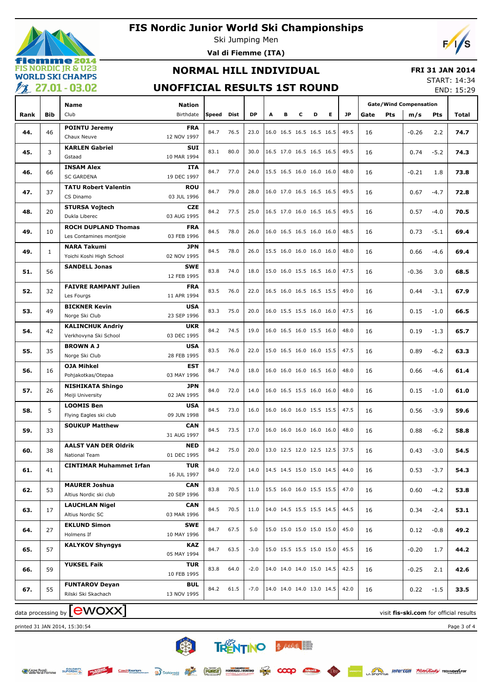## **FIS Nordic Junior World Ski Championships**



Ski Jumping Men **Val di Fiemme (ITA)**



## **NORMAL HILL INDIVIDUAL**

#### **FRI 31 JAN 2014**

#### **UNOFFICIAL RESULTS 1ST ROUND**

START: 14:34 END: 15:29

| $\overline{ }$ |              |                                            |                           |              |      |        |   |   |                          |   |   |           |      |            |                               |        | LIND. 1J.ZJ |
|----------------|--------------|--------------------------------------------|---------------------------|--------------|------|--------|---|---|--------------------------|---|---|-----------|------|------------|-------------------------------|--------|-------------|
|                |              | <b>Name</b>                                | <b>Nation</b>             |              |      |        |   |   |                          |   |   |           |      |            | <b>Gate/Wind Compensation</b> |        |             |
| Rank           | <b>Bib</b>   | Club                                       | Birthdate                 | <b>Speed</b> | Dist | DP     | А | в | c                        | D | Е | <b>JP</b> | Gate | <b>Pts</b> | m/s                           | Pts    | Total       |
|                |              | <b>POINTU Jeremy</b>                       | <b>FRA</b>                |              |      |        |   |   |                          |   |   |           |      |            |                               |        |             |
| 44.            | 46           | Chaux Neuve                                | 12 NOV 1997               | 84.7         | 76.5 | 23.0   |   |   | 16.0 16.5 16.5 16.5 16.5 |   |   | 49.5      | 16   |            | $-0.26$                       | 2.2    | 74.7        |
|                |              | <b>KARLEN Gabriel</b>                      | <b>SUI</b>                |              |      |        |   |   | 16.5 17.0 16.5 16.5 16.5 |   |   |           |      |            |                               |        |             |
| 45.            | 3            | Gstaad                                     | 10 MAR 1994               | 83.1         | 80.0 | 30.0   |   |   |                          |   |   | 49.5      | 16   |            | 0.74                          | $-5.2$ | 74.3        |
| 46.            | 66           | <b>INSAM Alex</b>                          | ITA                       | 84.7         | 77.0 | 24.0   |   |   | 15.5 16.5 16.0 16.0 16.0 |   |   | 48.0      | 16   |            | $-0.21$                       | 1.8    | 73.8        |
|                |              | <b>SC GARDENA</b>                          | 19 DEC 1997               |              |      |        |   |   |                          |   |   |           |      |            |                               |        |             |
| 47.            | 37           | <b>TATU Robert Valentin</b>                | ROU                       | 84.7         | 79.0 | 28.0   |   |   | 16.0 17.0 16.5 16.5 16.5 |   |   | 49.5      | 16   |            | 0.67                          | $-4.7$ | 72.8        |
|                |              | CS Dinamo                                  | 03 JUL 1996               |              |      |        |   |   |                          |   |   |           |      |            |                               |        |             |
| 48.            | 20           | <b>STURSA Vojtech</b>                      | <b>CZE</b>                | 84.2         | 77.5 | 25.0   |   |   | 16.5 17.0 16.0 16.5 16.5 |   |   | 49.5      | 16   |            | 0.57                          | $-4.0$ | 70.5        |
|                |              | Dukla Liberec                              | 03 AUG 1995               |              |      |        |   |   |                          |   |   |           |      |            |                               |        |             |
| 49.            | 10           | <b>ROCH DUPLAND Thomas</b>                 | <b>FRA</b>                | 84.5         | 78.0 | 26.0   |   |   | 16.0 16.5 16.5 16.0 16.0 |   |   | 48.5      | 16   |            | 0.73                          | $-5.1$ | 69.4        |
|                |              | Les Contamines montjoie                    | 03 FEB 1996               |              |      |        |   |   |                          |   |   |           |      |            |                               |        |             |
| 49.            | $\mathbf{1}$ | <b>NARA Takumi</b>                         | <b>JPN</b>                | 84.5         | 78.0 | 26.0   |   |   | 15.5 16.0 16.0 16.0 16.0 |   |   | 48.0      | 16   |            | 0.66                          | $-4.6$ | 69.4        |
|                |              | Yoichi Koshi High School                   | 02 NOV 1995               |              |      |        |   |   |                          |   |   |           |      |            |                               |        |             |
| 51.            | 56           | <b>SANDELL Jonas</b>                       | SWE                       | 83.8         | 74.0 | 18.0   |   |   | 15.0 16.0 15.5 16.5 16.0 |   |   | 47.5      | 16   |            | $-0.36$                       | 3.0    | 68.5        |
|                |              |                                            | 12 FEB 1995               |              |      |        |   |   |                          |   |   |           |      |            |                               |        |             |
| 52.            | 32           | <b>FAIVRE RAMPANT Julien</b><br>Les Fourgs | <b>FRA</b><br>11 APR 1994 | 83.5         | 76.0 | 22.0   |   |   | 16.5 16.0 16.5 16.5 15.5 |   |   | 49.0      | 16   |            | 0.44                          | $-3.1$ | 67.9        |
|                |              | <b>BICKNER Kevin</b>                       | <b>USA</b>                |              |      |        |   |   |                          |   |   |           |      |            |                               |        |             |
| 53.            | 49           | Norge Ski Club                             | 23 SEP 1996               | 83.3         | 75.0 | 20.0   |   |   | 16.0 15.5 15.5 16.0 16.0 |   |   | 47.5      | 16   |            | 0.15                          | $-1.0$ | 66.5        |
|                |              | <b>KALINCHUK Andriy</b>                    | <b>UKR</b>                |              |      |        |   |   |                          |   |   |           |      |            |                               |        |             |
| 54.            | 42           | Verkhovyna Ski School                      | 03 DEC 1995               | 84.2         | 74.5 | 19.0   |   |   | 16.0 16.5 16.0 15.5 16.0 |   |   | 48.0      | 16   |            | 0.19                          | $-1.3$ | 65.7        |
|                |              | <b>BROWNAJ</b>                             | <b>USA</b>                |              |      |        |   |   |                          |   |   |           |      |            |                               |        |             |
| 55.            | 35           | Norge Ski Club                             | 28 FEB 1995               | 83.5         | 76.0 | 22.0   |   |   | 15.0 16.5 16.0 16.0 15.5 |   |   | 47.5      | 16   |            | 0.89                          | $-6.2$ | 63.3        |
|                |              | <b>OJA Mihkel</b>                          | EST                       |              |      |        |   |   |                          |   |   |           |      |            |                               |        |             |
| 56.            | 16           | Pohjakotkas/Otepaa                         | 03 MAY 1996               | 84.7         | 74.0 | 18.0   |   |   | 16.0 16.0 16.0 16.5 16.0 |   |   | 48.0      | 16   |            | 0.66                          | $-4.6$ | 61.4        |
|                |              | <b>NISHIKATA Shingo</b>                    | <b>JPN</b>                |              |      |        |   |   |                          |   |   |           |      |            |                               |        |             |
| 57.            | 26           | Meiji University                           | 02 JAN 1995               | 84.0         | 72.0 | 14.0   |   |   | 16.0 16.5 15.5 16.0 16.0 |   |   | 48.0      | 16   |            | 0.15                          | $-1.0$ | 61.0        |
|                | 5            | <b>LOOMIS Ben</b>                          | <b>USA</b>                | 84.5         | 73.0 | 16.0   |   |   | 16.0 16.0 16.0 15.5 15.5 |   |   | 47.5      |      |            |                               |        |             |
| 58.            |              | Flying Eagles ski club                     | 09 JUN 1998               |              |      |        |   |   |                          |   |   |           | 16   |            | 0.56                          | $-3.9$ | 59.6        |
| 59.            | 33           | <b>SOUKUP Matthew</b>                      | <b>CAN</b>                | 84.5         | 73.5 | 17.0   |   |   | 16.0 16.0 16.0 16.0 16.0 |   |   | 48.0      | 16   |            | 0.88                          | $-6.2$ | 58.8        |
|                |              |                                            | 31 AUG 1997               |              |      |        |   |   |                          |   |   |           |      |            |                               |        |             |
| 60.            | 38           | <b>AALST VAN DER Oldrik</b>                | <b>NED</b>                | 84.2         | 75.0 | 20.0   |   |   | 13.0 12.5 12.0 12.5 12.5 |   |   | 37.5      | 16   |            | 0.43                          | $-3.0$ | 54.5        |
|                |              | National Team                              | 01 DEC 1995               |              |      |        |   |   |                          |   |   |           |      |            |                               |        |             |
| 61.            | 41           | <b>CINTIMAR Muhammet Irfan</b>             | <b>TUR</b>                | 84.0         | 72.0 | 14.0   |   |   | 14.5 14.5 15.0 15.0 14.5 |   |   | 44.0      | 16   |            | 0.53                          | $-3.7$ | 54.3        |
|                |              |                                            | 16 JUL 1997               |              |      |        |   |   |                          |   |   |           |      |            |                               |        |             |
| 62.            | 53           | <b>MAURER Joshua</b>                       | <b>CAN</b>                | 83.8         | 70.5 | 11.0   |   |   | 15.5 16.0 16.0 15.5 15.5 |   |   | 47.0      | 16   |            | 0.60                          | $-4.2$ | 53.8        |
|                |              | Altius Nordic ski club                     | 20 SEP 1996               |              |      |        |   |   |                          |   |   |           |      |            |                               |        |             |
| 63.            | 17           | <b>LAUCHLAN Nigel</b>                      | <b>CAN</b>                | 84.5         | 70.5 | 11.0   |   |   | 14.0 14.5 15.5 15.5 14.5 |   |   | 44.5      | 16   |            | 0.34                          | $-2.4$ | 53.1        |
|                |              | Altius Nordic SC                           | 03 MAR 1996               |              |      |        |   |   |                          |   |   |           |      |            |                               |        |             |
| 64.            | 27           | <b>EKLUND Simon</b><br>Holmens If          | <b>SWE</b><br>10 MAY 1996 | 84.7         | 67.5 | 5.0    |   |   | 15.0 15.0 15.0 15.0 15.0 |   |   | 45.0      | 16   |            | 0.12                          | $-0.8$ | 49.2        |
|                |              | <b>KALYKOV Shyngys</b>                     |                           |              |      |        |   |   |                          |   |   |           |      |            |                               |        |             |
| 65.            | 57           |                                            | <b>KAZ</b><br>05 MAY 1994 | 84.7         | 63.5 | $-3.0$ |   |   | 15.0 15.5 15.5 15.0 15.0 |   |   | 45.5      | 16   |            | $-0.20$                       | 1.7    | 44.2        |
|                |              | <b>YUKSEL Faik</b>                         | <b>TUR</b>                |              |      |        |   |   |                          |   |   |           |      |            |                               |        |             |
| 66.            | 59           |                                            | 10 FEB 1995               | 83.8         | 64.0 | $-2.0$ |   |   | 14.0 14.0 14.0 15.0 14.5 |   |   | 42.5      | 16   |            | $-0.25$                       | 2.1    | 42.6        |
|                |              | <b>FUNTAROV Deyan</b>                      | <b>BUL</b>                |              |      |        |   |   |                          |   |   |           |      |            |                               |        |             |
| 67.            | 55           | Rilski Ski Skachach                        | 13 NOV 1995               | 84.2         | 61.5 | $-7.0$ |   |   | 14.0 14.0 14.0 13.0 14.5 |   |   | 42.0      | 16   |            | 0.22                          | $-1.5$ | 33.5        |
|                |              |                                            |                           |              |      |        |   |   |                          |   |   |           |      |            |                               |        |             |

data processing by **CWOXX** and  $\overline{C}$  and  $\overline{C}$  and  $\overline{C}$  and  $\overline{C}$  and  $\overline{C}$  and  $\overline{C}$  and  $\overline{C}$  and  $\overline{C}$  and  $\overline{C}$  and  $\overline{C}$  and  $\overline{C}$  and  $\overline{C}$  and  $\overline{C}$  and  $\overline{C}$  and  $\overline{C}$ 

printed 31 JAN 2014, 15:30:54 Page 3 of 4

美人 TRENTINO BANK

COOP felio

CzechTourism a Dolomiti (FORST FORMAGELTREMINO ET